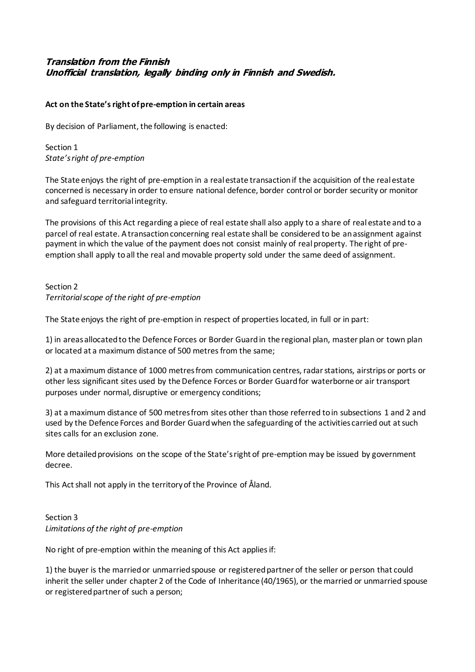# **Translation from the Finnish Unofficial translation, legally binding only in Finnish and Swedish.**

#### **Act on the State's right of pre-emption in certain areas**

By decision of Parliament, the following is enacted:

Section 1 *State's right of pre-emption*

The State enjoys the right of pre-emption in a real estate transaction if the acquisition of the real estate concerned is necessary in order to ensure national defence, border control or border security or monitor and safeguard territorial integrity.

The provisions of this Act regarding a piece of real estate shall also apply to a share of real estate and to a parcel of real estate. A transaction concerning real estate shall be considered to be an assignment against payment in which the value of the payment does not consist mainly of real property. The right of preemption shall apply to all the real and movable property sold under the same deed of assignment.

## Section 2 *Territorial scope of the right of pre-emption*

The State enjoys the right of pre-emption in respect of properties located, in full or in part:

1) in areas allocated to the Defence Forces or Border Guard in the regional plan, master plan or town plan or located at a maximum distance of 500 metres from the same;

2) at a maximum distance of 1000 metres from communication centres, radar stations, airstrips or ports or other less significant sites used by the Defence Forces or Border Guard for waterborne or air transport purposes under normal, disruptive or emergency conditions;

3) at a maximum distance of 500 metres from sites other than those referred to in subsections 1 and 2 and used by the Defence Forces and Border Guard when the safeguarding of the activities carried out at such sites calls for an exclusion zone.

More detailed provisions on the scope of the State's right of pre-emption may be issued by government decree.

This Act shall not apply in the territory of the Province of Åland.

## Section 3 *Limitations of the right of pre-emption*

No right of pre-emption within the meaning of this Act applies if:

1) the buyer is the married or unmarried spouse or registered partner of the seller or person that could inherit the seller under chapter 2 of the Code of Inheritance (40/1965), or the married or unmarried spouse or registered partner of such a person;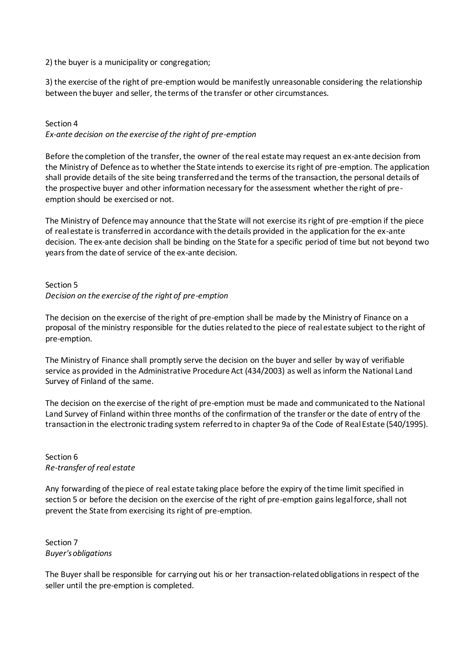2) the buyer is a municipality or congregation;

3) the exercise of the right of pre-emption would be manifestly unreasonable considering the relationship between the buyer and seller, the terms of the transfer or other circumstances.

# Section 4

*Ex-ante decision on the exercise of the right of pre-emption*

Before the completion of the transfer, the owner of the real estatemay request an ex-ante decision from the Ministry of Defence as to whether the State intends to exercise its right of pre-emption. The application shall provide details of the site being transferred and the terms of the transaction, the personal details of the prospective buyer and other information necessary for the assessment whether the right of preemption should be exercised or not.

The Ministry of Defence may announce that the State will not exercise its right of pre-emption if the piece of real estate is transferred in accordance with the details provided in the application for the ex-ante decision. The ex-ante decision shall be binding on the State for a specific period of time but not beyond two years from the date of service of the ex-ante decision.

### Section 5 *Decision on the exercise of the right of pre-emption*

The decision on the exercise of the right of pre-emption shall be made by the Ministry of Finance on a proposal of the ministry responsible for the duties related to the piece of real estate subject to the right of pre-emption.

The Ministry of Finance shall promptly serve the decision on the buyer and seller by way of verifiable service as provided in the Administrative Procedure Act (434/2003) as well as inform the National Land Survey of Finland of the same.

The decision on the exercise of the right of pre-emption must be made and communicated to the National Land Survey of Finland within three months of the confirmation of the transfer or the date of entry of the transaction in the electronic trading system referred to in chapter 9a of the Code of Real Estate (540/1995).

#### Section 6 *Re-transfer of real estate*

Any forwarding of the piece of real estate taking place before the expiry of the time limit specified in section 5 or before the decision on the exercise of the right of pre-emption gains legal force, shall not prevent the State from exercising its right of pre-emption.

#### Section 7 *Buyer's obligations*

The Buyer shall be responsible for carrying out his or her transaction-related obligations in respect of the seller until the pre-emption is completed.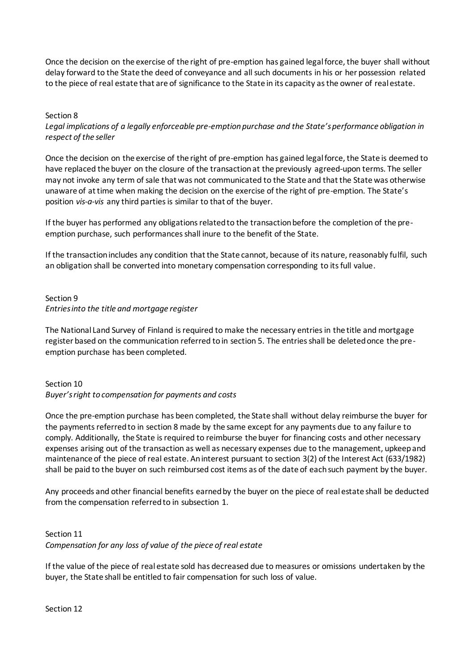Once the decision on the exercise of the right of pre-emption has gained legal force, the buyer shall without delay forward to the State the deed of conveyance and all such documents in his or her possession related to the piece of real estate that are of significance to the State in its capacity as the owner of real estate.

#### Section 8

*Legal implications of a legally enforceable pre-emption purchase and the State's performance obligation in respect of the seller*

Once the decision on the exercise of the right of pre-emption has gained legal force, the State is deemed to have replaced the buyer on the closure of the transaction at the previously agreed-upon terms. The seller may not invoke any term of sale that was not communicated to the State and that the State was otherwise unaware of at time when making the decision on the exercise of the right of pre-emption. The State's position *vis-a-vis* any third parties is similar to that of the buyer.

If the buyer has performed any obligations related to the transaction before the completion of the preemption purchase, such performances shall inure to the benefit of the State.

If the transaction includes any condition that the State cannot, because of its nature, reasonably fulfil, such an obligation shall be converted into monetary compensation corresponding to its full value.

#### Section 9 *Entries into the title and mortgage register*

The National Land Survey of Finland is required to make the necessary entries in the title and mortgage register based on the communication referred to in section 5. The entries shall be deleted once the preemption purchase has been completed.

# Section 10 *Buyer's right to compensation for payments and costs*

Once the pre-emption purchase has been completed, the State shall without delay reimburse the buyer for the payments referred to in section 8 made by the same except for any payments due to any failure to comply. Additionally, the State is required to reimburse the buyer for financing costs and other necessary expenses arising out of the transaction as well as necessary expenses due to the management, upkeep and maintenance of the piece of real estate. An interest pursuant to section 3(2) of the Interest Act (633/1982) shall be paid to the buyer on such reimbursed cost items as of the date of each such payment by the buyer.

Any proceeds and other financial benefits earned by the buyer on the piece of real estate shall be deducted from the compensation referred to in subsection 1.

# Section 11 *Compensation for any loss of value of the piece of real estate*

If the value of the piece of real estate sold has decreased due to measures or omissions undertaken by the buyer, the State shall be entitled to fair compensation for such loss of value.